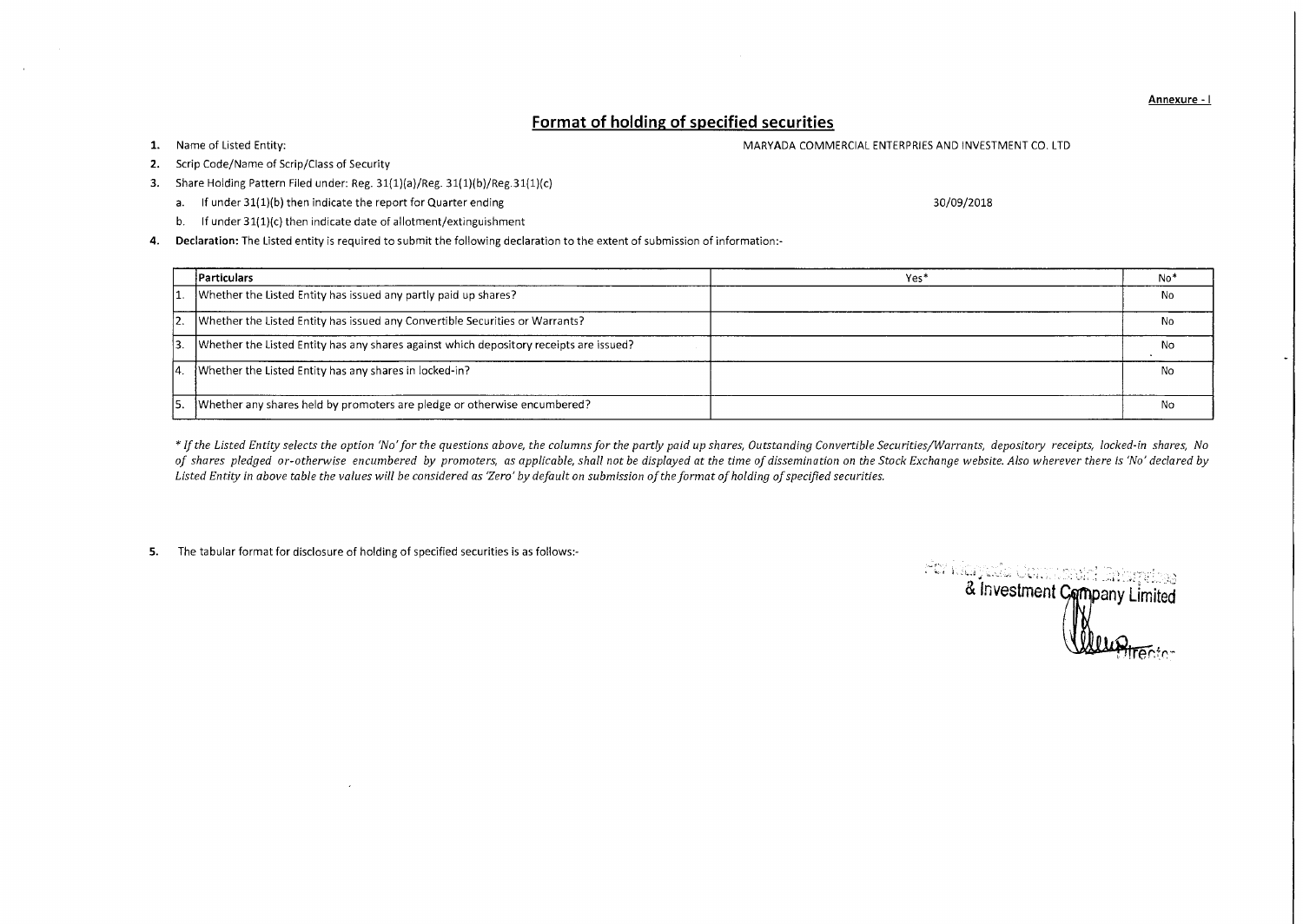Annexure - I

## **Format of holding of specified securities**

1. Name of Listed Entity: The United States of Listed Entity: MARYADA COMMERCIAL ENTERPRIES AND INVESTMENT CO. LTD

- 2. Scrip Code/Name of Scrip/Class of Security
- 3. Share Holding Pattern Filed under: Reg. 31(1)(a)/Reg. 31(1)(b)/Reg.31(1)(c)
	- a. If under 31(1)(b) then indicate the report for Quarter ending 30/09/2018
	- b. If under 31(1)(c) then indicate date of allotment/extinguishment

4. Declaration: The Listed entity is required to submit the following declaration to the extent of submission of information:-

|     | Particulars                                                                            | Yes <sup>*</sup> | No* |
|-----|----------------------------------------------------------------------------------------|------------------|-----|
|     | Whether the Listed Entity has issued any partly paid up shares?                        |                  | No  |
|     | Whether the Listed Entity has issued any Convertible Securities or Warrants?           |                  | N٥  |
|     | Whether the Listed Entity has any shares against which depository receipts are issued? |                  | NΟ  |
| 14. | Whether the Listed Entity has any shares in locked-in?                                 |                  | No  |
|     | Whether any shares held by promoters are pledge or otherwise encumbered?               |                  | No  |

*\* If the Listed Entity selects the option 'No' for the questions above, the columns for the partly paid up shares, Outstanding Convertible Securities/Warrants, depository receipts, locked-in shares, No of shares pledged or-otherwise encumbered by promoters, as applicable, shall not be displayed at the time of dissemination on the Stock Exchange website. Also wherever there is 'No' declared by Listed Entity in above table the values will be considered as 'Zero' by default on submission of the format of holding of specified securities.* 

5. The tabular format for disclosure of holding of specified securities is as follows:-

er Maryada Composition and Terminal<br>& Investment Company Limited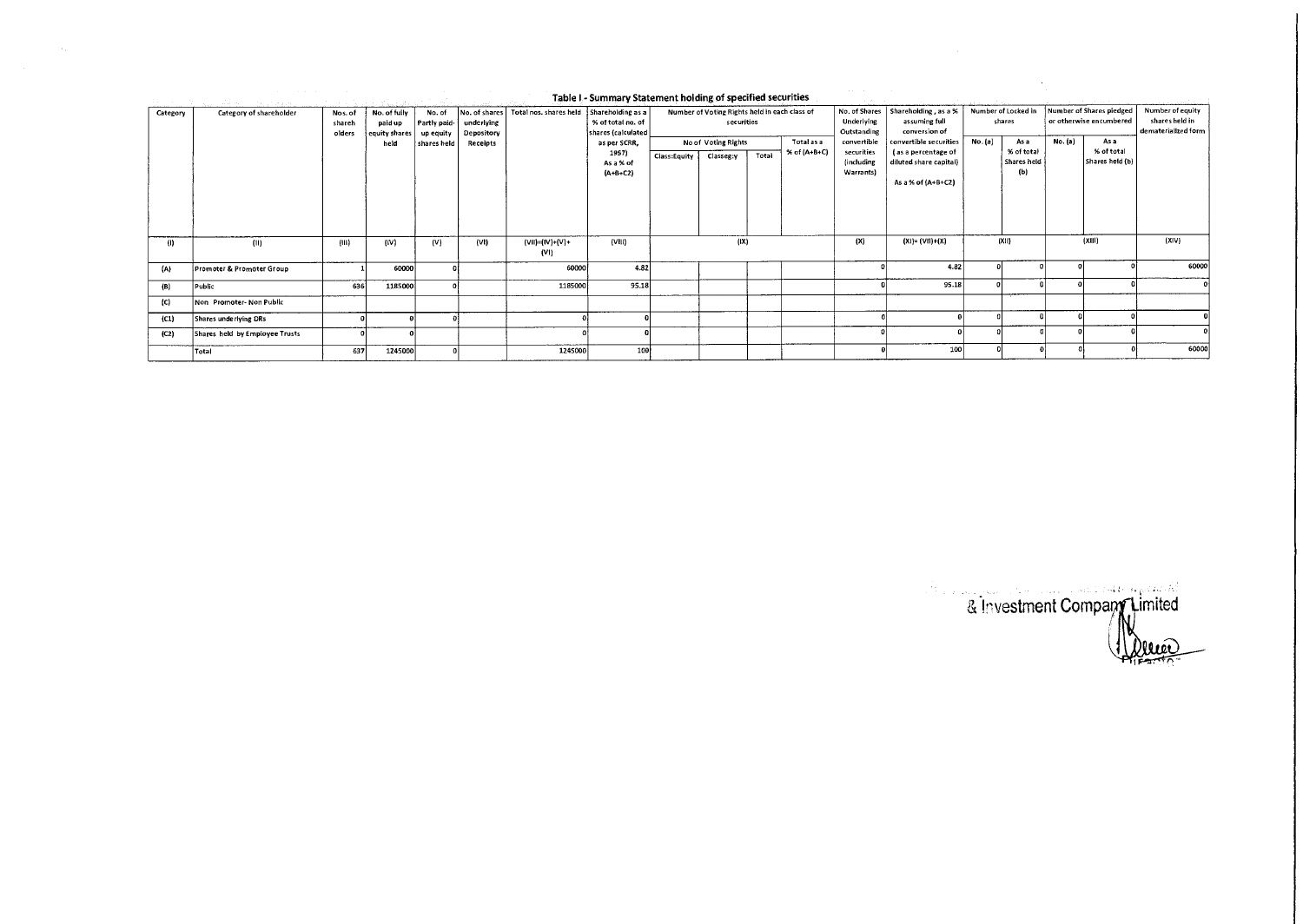| Category | Category of shareholder              | Nos. of<br>shareh<br>olders | No. of fully<br>paid up<br>equity shares<br>held | No. of<br>Partly paid-<br>up equity<br>shares held | underlying<br>Depository<br>Receipts | No. of shares   Total nos. shares held   Shareholding as a | % of total no. of<br>shares (calculated)<br>as per SCRR,<br>1957)<br>As a % of<br>$(A+B+C2)$ | Class:Equity | Number of Voting Rights held in each class of<br>securities<br>No of Voting Rights<br>Classeg:y | Total | Total as a<br>% of (A+B+C) | Underlying<br>Outstanding<br>convertible<br>securities<br>(including<br>Warrants) | No. of Shares   Shareholding, as a %  <br>assuming full<br>conversion of<br>convertible securities<br>(as a percentage of<br>diluted share capital) | No. (a) | Number of Locked in<br>shares<br>As a<br>% of total<br>Shares held<br>(Ы) | No. (a) | Number of Shares pledged<br>or otherwise encumbered<br>As a<br>% of total<br>Shares held (b) | Number of equity<br>shares held in<br>dematerialized form |
|----------|--------------------------------------|-----------------------------|--------------------------------------------------|----------------------------------------------------|--------------------------------------|------------------------------------------------------------|----------------------------------------------------------------------------------------------|--------------|-------------------------------------------------------------------------------------------------|-------|----------------------------|-----------------------------------------------------------------------------------|-----------------------------------------------------------------------------------------------------------------------------------------------------|---------|---------------------------------------------------------------------------|---------|----------------------------------------------------------------------------------------------|-----------------------------------------------------------|
| (1)      | (11)                                 | (III)                       | (IV)                                             | (V)                                                | (VI)                                 | (VII)=(IV)+(V)+                                            | (VIII)                                                                                       |              | (IX)                                                                                            |       |                            | (X)                                                                               | As a % of (A+B+C2)<br>$(X!) = (V1!) + (X)$                                                                                                          |         | (X11)                                                                     |         | (XIII)                                                                                       | (X V)                                                     |
|          |                                      |                             |                                                  |                                                    |                                      | (V1)                                                       |                                                                                              |              |                                                                                                 |       |                            |                                                                                   |                                                                                                                                                     |         |                                                                           |         |                                                                                              |                                                           |
| (A)      | <b>Promoter &amp; Promoter Group</b> |                             | 60000                                            |                                                    |                                      | 60000                                                      | 4.82                                                                                         |              |                                                                                                 |       |                            |                                                                                   | 4.82                                                                                                                                                |         |                                                                           |         |                                                                                              | 60000                                                     |
| (B)      | Public                               | 636                         | 1185000                                          |                                                    |                                      | 1185000                                                    | 95.18                                                                                        |              |                                                                                                 |       |                            |                                                                                   | 95.18                                                                                                                                               |         |                                                                           |         |                                                                                              |                                                           |
| (C)      | Non Promoter-Non Public              |                             |                                                  |                                                    |                                      |                                                            |                                                                                              |              |                                                                                                 |       |                            |                                                                                   |                                                                                                                                                     |         |                                                                           |         |                                                                                              |                                                           |
| (C1)     | Shares underlying DRs                |                             |                                                  |                                                    |                                      |                                                            |                                                                                              |              |                                                                                                 |       |                            |                                                                                   |                                                                                                                                                     |         |                                                                           |         |                                                                                              |                                                           |
| (C2)     | Shares held by Employee Trusts       |                             |                                                  |                                                    |                                      |                                                            |                                                                                              |              |                                                                                                 |       |                            |                                                                                   |                                                                                                                                                     |         |                                                                           |         |                                                                                              |                                                           |
|          | Total                                | 637                         | 1245000                                          |                                                    |                                      | 1245000                                                    | 100                                                                                          |              |                                                                                                 |       |                            |                                                                                   | 100                                                                                                                                                 |         |                                                                           |         |                                                                                              | 60000                                                     |

## Table I - Summary Statement holding of specified securities

 $\sim$ 

& Investment Company Limited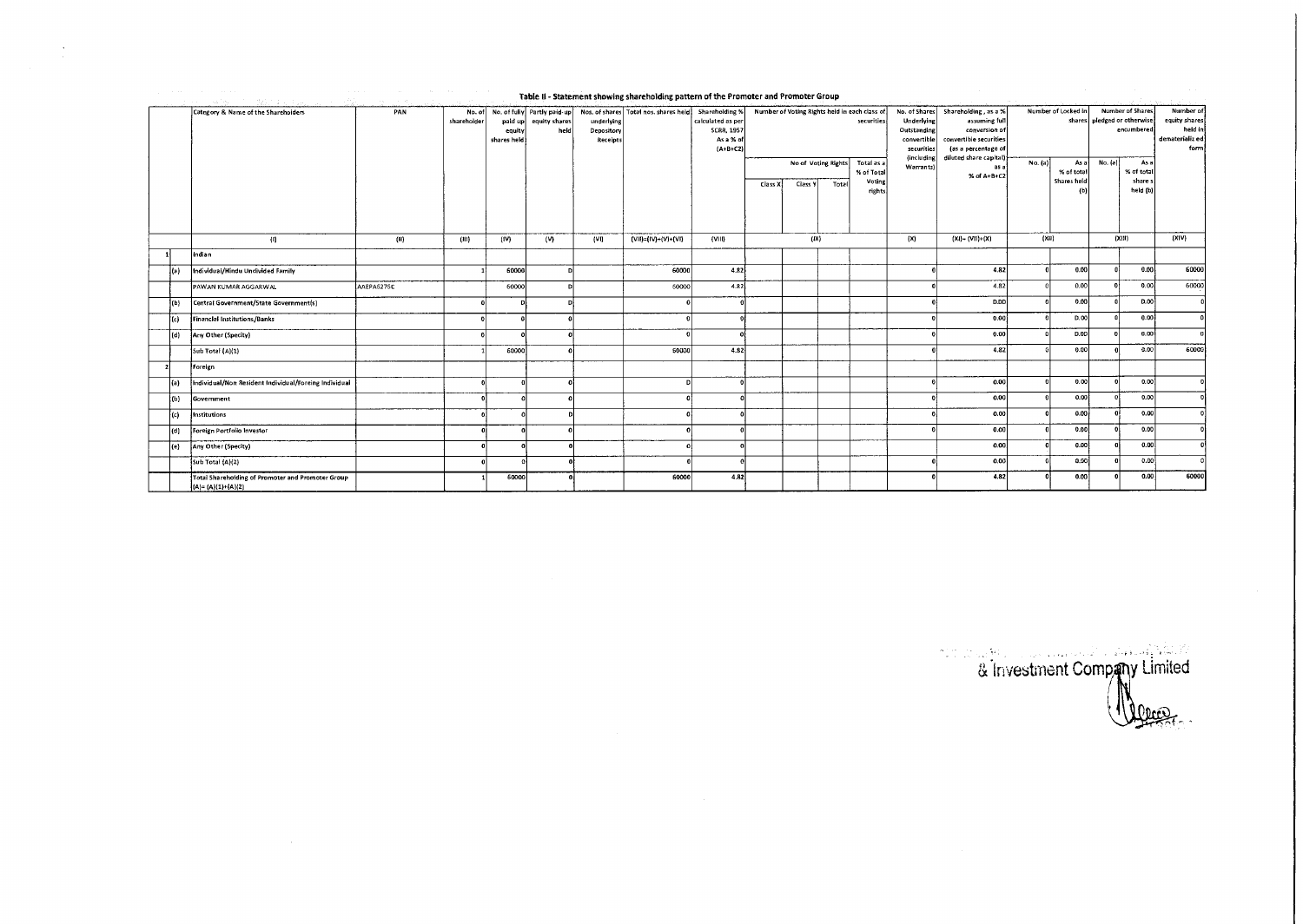|       | Category & Name of the Shareholders                                        | PAN        |       | paid up<br>equity<br>shares held | No. of fully Partly paid-up<br>equity shares<br>held | underlying<br>Depository<br>Receipts | Nos. of shares Total nos. shares held | Shareholding %<br>calculated as per<br><b>SCRR, 1957</b><br>As a % of<br>$(A+B+C2)$ |          |         |                              | Number of Voting Rights held in each class of<br>securities | No. of Shares<br>Underlying<br>Outstanding<br>convertible<br>securities<br><i><b>(including)</b></i> | Shareholding, as a %<br>assuming full<br>conversion of<br>convertible securities<br>(as a percentage of<br>diluted share capital); | Number of Locked in |                                   | <b>Number of Shares</b><br>shares pledged or otherwise<br>encumbered |                                           | Number of<br>equity shares<br>held in<br>dematerializ ed<br>form |
|-------|----------------------------------------------------------------------------|------------|-------|----------------------------------|------------------------------------------------------|--------------------------------------|---------------------------------------|-------------------------------------------------------------------------------------|----------|---------|------------------------------|-------------------------------------------------------------|------------------------------------------------------------------------------------------------------|------------------------------------------------------------------------------------------------------------------------------------|---------------------|-----------------------------------|----------------------------------------------------------------------|-------------------------------------------|------------------------------------------------------------------|
|       |                                                                            |            |       |                                  |                                                      |                                      |                                       |                                                                                     | Class X. | Class V | No of Voting Rights<br>Total | Total as a<br>% of Total<br>Voting<br>rights                | Warrants)                                                                                            | as a<br>% of A+B+C2                                                                                                                | No. (a)             | As a<br>% of total<br>Shares held | No. (a)                                                              | As a<br>% of total<br>share s<br>held (b) |                                                                  |
|       | (1)                                                                        | (ii)       | (III) | (IV)                             | (v)                                                  | (VI)                                 | $(VII) = (IV) + (V) + (VI)$           | $\{VIII\}$                                                                          | (IX)     |         |                              | (X)                                                         | (xu)<br>$[X1] = (V11)+(X)$                                                                           |                                                                                                                                    |                     | (XIII)                            |                                                                      | (XIV)                                     |                                                                  |
|       | Indian                                                                     |            |       |                                  |                                                      |                                      |                                       |                                                                                     |          |         |                              |                                                             |                                                                                                      |                                                                                                                                    |                     |                                   |                                                                      |                                           |                                                                  |
| l(a)  | Individual/Hindu Undivided Family                                          |            |       | 60000                            | .nl                                                  |                                      | 60000                                 | 4.82                                                                                |          |         |                              |                                                             |                                                                                                      | 4.82                                                                                                                               |                     | 0.00                              |                                                                      | 0.00                                      | 60000                                                            |
|       | PAWAN KUMAR AGGARWAL                                                       | AAEPA6276C |       | 60000                            | n                                                    |                                      | 60000                                 | 4.82                                                                                |          |         |                              |                                                             |                                                                                                      | 4.82                                                                                                                               |                     | 0.00                              |                                                                      | 0.00                                      | 60000                                                            |
| ${b}$ | Central Government/State Government(s)                                     |            |       |                                  |                                                      |                                      |                                       |                                                                                     |          |         |                              |                                                             |                                                                                                      | D.DD                                                                                                                               |                     | 0.00                              |                                                                      | D.00                                      |                                                                  |
| te)   | <b>Financial Institutions/Banks</b>                                        |            |       |                                  |                                                      |                                      |                                       |                                                                                     |          |         |                              |                                                             |                                                                                                      | 0.00                                                                                                                               |                     | D.00                              |                                                                      | 0.00                                      | $\Omega$                                                         |
| (d)   | Any Other (Specity)                                                        |            |       |                                  |                                                      |                                      |                                       |                                                                                     |          |         |                              |                                                             |                                                                                                      | 0.00                                                                                                                               |                     | p.op                              |                                                                      | 0.00                                      |                                                                  |
|       | Sub Total (A)(1)                                                           |            |       | 60000                            |                                                      |                                      | 60000                                 | 4.82                                                                                |          |         |                              |                                                             |                                                                                                      | 4.82                                                                                                                               |                     | 0.00                              |                                                                      | 0.00                                      | 60000                                                            |
|       | Foreign                                                                    |            |       |                                  |                                                      |                                      |                                       |                                                                                     |          |         |                              |                                                             |                                                                                                      |                                                                                                                                    |                     |                                   |                                                                      |                                           |                                                                  |
| lta). | Individual/Non Resident Individual/Foreing Individual                      |            |       | nl                               |                                                      |                                      |                                       | n                                                                                   |          |         |                              |                                                             |                                                                                                      | 0.00                                                                                                                               |                     | 0.00                              |                                                                      | 0.00                                      |                                                                  |
| P(P)  | Government                                                                 |            |       |                                  |                                                      |                                      |                                       |                                                                                     |          |         |                              |                                                             |                                                                                                      | 0.00                                                                                                                               |                     | 0.00                              |                                                                      | 0.00                                      |                                                                  |
| (c)   | Institutions                                                               |            |       | ω                                | D                                                    |                                      | n                                     | $\sqrt{2}$                                                                          |          |         |                              |                                                             |                                                                                                      | 0.00                                                                                                                               |                     | 0.00                              |                                                                      | 0.00                                      |                                                                  |
| (d)   | Foreign Portfolio Investor                                                 |            |       |                                  |                                                      |                                      |                                       |                                                                                     |          |         |                              |                                                             |                                                                                                      | 0.00                                                                                                                               |                     | 0.00                              |                                                                      | 0.00                                      |                                                                  |
| (e)   | Any Other (Specity)                                                        |            |       |                                  |                                                      |                                      |                                       |                                                                                     |          |         |                              |                                                             |                                                                                                      | 0.00                                                                                                                               |                     | 0.00                              |                                                                      | 0.00                                      |                                                                  |
|       | Sub Total (A)(2)                                                           |            |       |                                  |                                                      |                                      |                                       |                                                                                     |          |         |                              |                                                             |                                                                                                      | 0.00                                                                                                                               |                     | 9.60                              |                                                                      | 0.00                                      |                                                                  |
|       | Total Shareholding of Promoter and Promoter Group<br>$ A  = (A)(1)+(A)(2)$ |            |       | 60000                            |                                                      |                                      | 60000                                 | 4.82                                                                                |          |         |                              |                                                             |                                                                                                      | 4.82                                                                                                                               |                     | 0.00                              |                                                                      | 0.00                                      | 60000                                                            |

Table II - Statement showing shareholding pattern of the Promoter and Promoter Group

 $\lambda$ 

**investment Company Limited**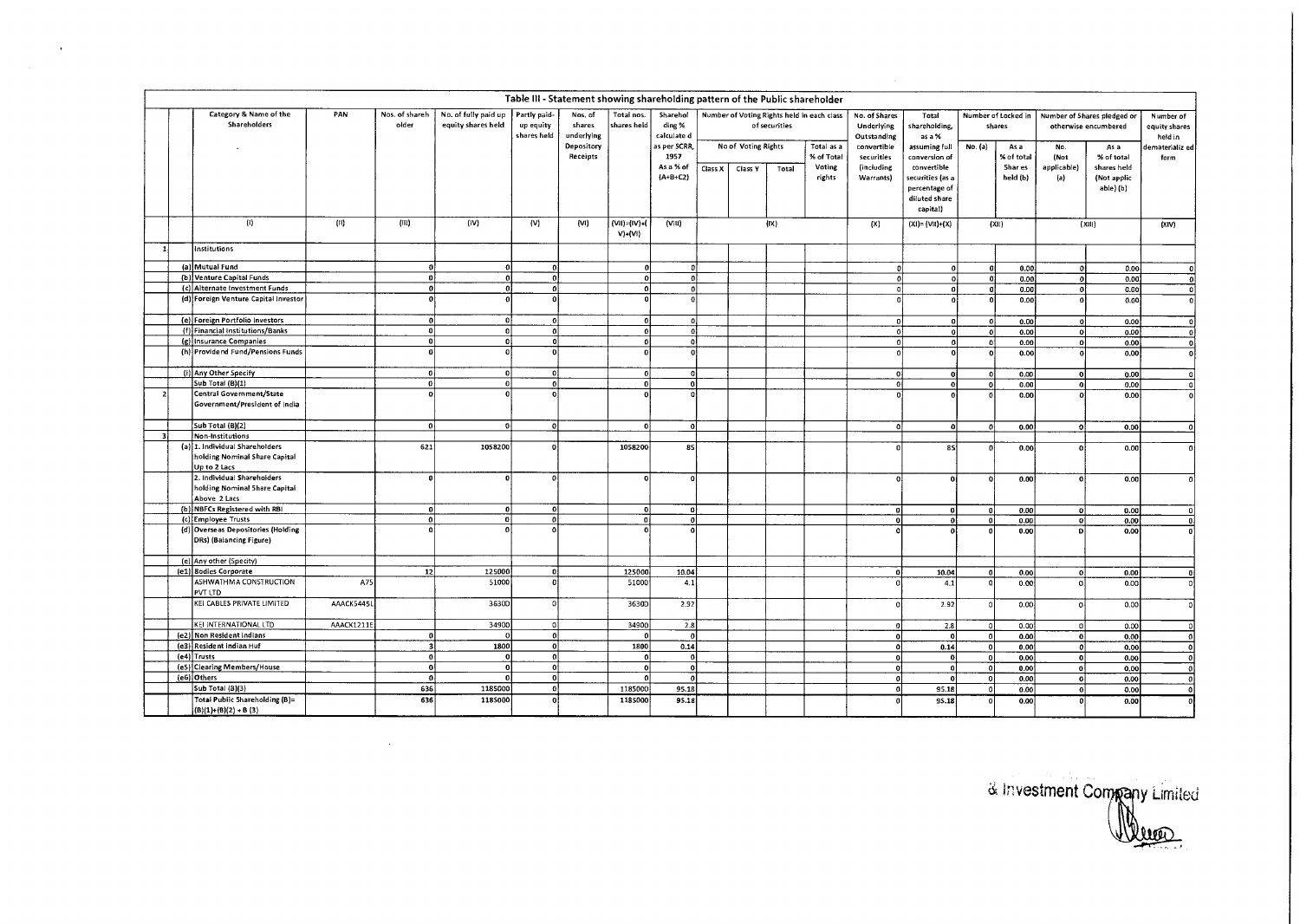|                |                                                                                 |            |                         |                                            |                                          | Table III - Statement showing shareholding pattern of the Public shareholder |                            |                                                  |         |                     |               |                                                          |                                                           |                                                                                                |                               |                                           |                                                     |                                                               |                                                         |
|----------------|---------------------------------------------------------------------------------|------------|-------------------------|--------------------------------------------|------------------------------------------|------------------------------------------------------------------------------|----------------------------|--------------------------------------------------|---------|---------------------|---------------|----------------------------------------------------------|-----------------------------------------------------------|------------------------------------------------------------------------------------------------|-------------------------------|-------------------------------------------|-----------------------------------------------------|---------------------------------------------------------------|---------------------------------------------------------|
|                | Category & Name of the<br>Shareholders                                          | PAN        | Nos. of shareh<br>older | No. of fully paid up<br>equity shares held | Partly paid-<br>up equity<br>shares held | Nos. of<br>shares<br>underlying<br>Depository                                | Total nos.<br>shares held  | Sharehol<br>ding %<br>calculate d<br>as per SCRR |         | No of Voting Rights | of securities | Number of Voting Rights held in each class<br>Total as a | No. of Shares<br>Underlying<br>Outstanding<br>convertible | Total<br>shareholding,<br>as a %<br>assuming full                                              | Number of Locked in<br>shares |                                           | Number of Shares pledged or<br>otherwise encumbered |                                                               | Number of<br>equity shares<br>held in<br>ematerializ ed |
|                |                                                                                 |            |                         |                                            |                                          | Receipts                                                                     |                            | 1957<br>As a % of<br>${A+B+C2}$                  | Class X | Class Y             | Total         | % of Total<br>Voting<br>rights                           | securities<br>(including<br>Warrants)                     | conversion of<br>convertible<br>securities (as a<br>percentage of<br>diluted share<br>capital) | No. (a)                       | As a<br>% of total<br>Shar es<br>held (b) | No.<br>(Not<br>applicable)<br>(a)                   | As a<br>% of total<br>shares held<br>(Not applic<br>abie) (b) | form                                                    |
|                | $\left(\mathbf{I}\right)$                                                       | (II)       | (III)                   | (IV)                                       | (V)                                      | (VI)                                                                         | (VII)=(IV)+(<br>$V$ )+(VI) | (V(1)                                            |         |                     | (IX)          |                                                          | (X)                                                       | $(X) = (VII)+(X)$                                                                              |                               | (Xii)                                     |                                                     | (X 1 )                                                        | (XIV)                                                   |
|                | Institutions                                                                    |            |                         |                                            |                                          |                                                                              |                            |                                                  |         |                     |               |                                                          |                                                           |                                                                                                |                               |                                           |                                                     |                                                               |                                                         |
|                | (a) Mutual Fund                                                                 |            | $\Omega$                |                                            | -ol                                      |                                                                              | $\mathbf{a}$               | $\Omega$                                         |         |                     |               |                                                          | $\mathbf{C}$                                              | 0                                                                                              | $\mathbf{0}$                  | 0.00                                      | $\Omega$                                            | 0.00                                                          |                                                         |
|                | (b) Venture Capital Funds                                                       |            | ٥l                      |                                            | $\Omega$                                 |                                                                              | $\Omega$                   | -ol                                              |         |                     |               |                                                          | $\Omega$                                                  | $\Omega$                                                                                       | - ol                          | 0.00                                      | - ol                                                | 0.00                                                          | $\pmb{\mathsf{o}}$                                      |
|                | (c) Alternate Investment Funds                                                  |            | -ol                     |                                            | $\mathbf{a}$                             |                                                                              | $\overline{0}$             | $\overline{\mathfrak{o}}$                        |         |                     |               |                                                          | $\Omega$                                                  | $\mathbf{0}$                                                                                   | $\mathbf{0}$                  | 0.00                                      | $\mathbf{o}$                                        | 0.00                                                          | $\mathbf{0}$                                            |
|                | (d) Foreign Venture Capital Investor                                            |            | $\Omega$                |                                            |                                          |                                                                              |                            | $\Omega$                                         |         |                     |               |                                                          |                                                           | $\theta$                                                                                       | $\Omega$                      | 0.00                                      | $\theta$                                            | 0.00                                                          | $\mathbf{o}$                                            |
|                | (e) Foreign Portfolio investors                                                 |            | -ol                     | ٥I                                         | $\Omega$                                 |                                                                              | $\theta$                   | O.                                               |         |                     |               |                                                          | $\mathbf{a}$                                              | $\mathbf{0}$                                                                                   | ol                            | 0.00                                      | - ol                                                | 0.00                                                          | 0                                                       |
|                | (f) Financial Institutions/Banks                                                |            | $\mathfrak{o}$          | ۵l                                         | $\mathbf{a}$                             |                                                                              |                            |                                                  |         |                     |               |                                                          | $\Omega$                                                  | $\mathbf{0}$                                                                                   | $\mathbf{0}$                  | 0.00                                      | 0                                                   | 0.00                                                          | -ol                                                     |
|                | (g) Insurance Companies                                                         |            | -o l                    | ٥l                                         | ol                                       |                                                                              | $\mathbf{0}$               | $\mathbf{0}$                                     |         |                     |               |                                                          | 0.                                                        | $\Omega$                                                                                       | -o l                          | 0.00                                      | $\Omega$                                            | 0.00                                                          | οl                                                      |
|                | (h) Providend Fund/Pensions Funds                                               |            | $\Omega$                |                                            |                                          |                                                                              |                            | $\Omega$                                         |         |                     |               |                                                          |                                                           | $\mathbf{o}$                                                                                   | n                             | 0.00                                      | $\theta$                                            | 0.00                                                          |                                                         |
|                |                                                                                 |            | 0                       | o.                                         | $\Omega$                                 |                                                                              |                            |                                                  |         |                     |               |                                                          |                                                           |                                                                                                |                               |                                           |                                                     |                                                               | 0                                                       |
|                | (i) Any Other Specify                                                           |            |                         |                                            |                                          |                                                                              | $\mathbf{r}$               | $\mathbf{0}$                                     |         |                     |               |                                                          | οl                                                        | $\bf{0}$                                                                                       | $\Omega$                      | 0,00                                      | $\Omega$                                            | 0.00                                                          | 0                                                       |
|                | Sub Total (B)(1)                                                                |            | 0                       | n.                                         | -n l                                     |                                                                              | $\mathbf{a}$               | $\mathbf{o}$                                     |         |                     |               |                                                          | ol                                                        | $\mathbf{o}$                                                                                   | $\mathbf{a}$                  | 0.00                                      | $\Omega$                                            | 0.00                                                          | 0                                                       |
| $\overline{2}$ | Central Government/State<br>Government/President of India                       |            | $\Omega$                |                                            |                                          |                                                                              |                            |                                                  |         |                     |               |                                                          |                                                           |                                                                                                |                               | 0.00                                      |                                                     | 0.00                                                          | ol                                                      |
|                | Sub Total (B)(2)                                                                |            | $\mathfrak{g}$          | o.                                         | $\Omega$                                 |                                                                              | $\theta$                   | ol                                               |         |                     |               |                                                          | ٥ľ                                                        | ٥l                                                                                             | -ol                           | 0.00                                      | -ol                                                 | 0.00                                                          | $\Omega$                                                |
| ્ર             | Non-Institutions                                                                |            |                         |                                            |                                          |                                                                              |                            |                                                  |         |                     |               |                                                          |                                                           |                                                                                                |                               |                                           |                                                     |                                                               |                                                         |
|                | (a) 1. Individual Shareholders<br>holding Nominal Share Capital<br>Up to 2 Lacs |            | 621                     | 1058200                                    |                                          |                                                                              | 1058200                    | 85                                               |         |                     |               |                                                          | $\mathbf{a}$                                              | $\overline{\mathbf{s}}$                                                                        |                               | 0.00                                      | $\Omega$                                            | 0.00                                                          | Ωİ                                                      |
|                | 2. Individual Shareholders<br>holding Nominal Share Capital<br>Above 2 Lacs     |            | $\mathbf{a}$            | n                                          |                                          |                                                                              |                            | $\theta$                                         |         |                     |               |                                                          | $\mathbf{a}$                                              | $\Omega$                                                                                       | $\Omega$                      | 0.00                                      | $\Omega$                                            | 0.00                                                          | $\sqrt{2}$                                              |
|                | (b) NBFCs Registered with RBI                                                   |            | $\mathbf{0}$            | n.                                         | $\mathbf{a}$                             |                                                                              | $\mathbf{a}$               | 0                                                |         |                     |               |                                                          | $\mathbf{0}$                                              |                                                                                                | $\mathbf 0$                   | 0.00                                      | ol                                                  | 0.00                                                          | $\mathbf{a}$                                            |
|                | (c) Employee Trusts                                                             |            | $\mathfrak{o}$          | n.                                         | $\mathbf{r}$                             |                                                                              | O.                         | 0                                                |         |                     |               |                                                          | $\mathbf 0$                                               | $\Omega$                                                                                       | $\mathbf{0}$                  | 0.00                                      | $\Omega$                                            | 0.00                                                          | $\mathbf{0}$                                            |
|                | (d) Overseas Depositories (Holding<br>DRs) (Balancing Figure)                   |            | $\Omega$                |                                            |                                          |                                                                              |                            | $\Omega$                                         |         |                     |               |                                                          |                                                           |                                                                                                |                               | 0.00                                      | <b>D</b>                                            | 0.00                                                          |                                                         |
|                | (e) Any other (Specity)                                                         |            |                         |                                            |                                          |                                                                              |                            |                                                  |         |                     |               |                                                          |                                                           |                                                                                                |                               |                                           |                                                     |                                                               |                                                         |
|                | (e1) 8odies Corporate                                                           |            | 12 <sup>1</sup>         | 125000                                     | $\mathbf{a}$                             |                                                                              | 125000                     | 10.04                                            |         |                     |               |                                                          | $\Omega$                                                  | 10.04                                                                                          |                               | 0.00                                      | $\Omega$                                            | 0.00                                                          |                                                         |
|                | ASHWATHMA CONSTRUCTION<br>PVT LTD                                               | A75        |                         | 51000                                      |                                          |                                                                              | 51000                      | 4.1                                              |         |                     |               |                                                          |                                                           | 4.1                                                                                            |                               | 0.00                                      | $\Omega$                                            | 0.00                                                          |                                                         |
|                | KEI CABLES PRIVATE LIMITED                                                      | AAACK5445L |                         | 3630D                                      |                                          |                                                                              | 3630D                      | 2.92                                             |         |                     |               |                                                          | $\Omega$                                                  | 2.92                                                                                           |                               | 0.00                                      | $\Omega$                                            | 0.00                                                          |                                                         |
|                | KEI INTERNATIONAL LTD                                                           | AAACK1211E |                         | 34900                                      | $\Omega$                                 |                                                                              | 34900                      | 2.8                                              |         |                     |               |                                                          | $\Omega$                                                  | 2.8                                                                                            | $\circ$                       | 0.00                                      | 0                                                   | 0.00                                                          |                                                         |
|                | (e2) Non Resident Indians                                                       |            | $\Omega$                |                                            | $\overline{0}$                           |                                                                              | $\mathbf{a}$               | $\mathbf 0$                                      |         |                     |               |                                                          | o                                                         | -ol                                                                                            | -ol                           | 0.00                                      | $\overline{0}$                                      | 0.00                                                          | $\Omega$                                                |
|                | (e3) Resident Indian Huf                                                        |            | 31                      | 1800                                       | -ol                                      |                                                                              | 1800                       | 0.14                                             |         |                     |               |                                                          | $\Omega$                                                  | 0.14                                                                                           | -ol                           | 0.00                                      | $\overline{0}$                                      | 0.00                                                          | $\mathbf 0$                                             |
|                | (e4) Trusts                                                                     |            | ٥l                      |                                            | $\Omega$                                 |                                                                              | -ol                        | $\Omega$                                         |         |                     |               |                                                          | $\mathbf 0$                                               | $\Omega$                                                                                       | $\mathbf{o}$                  |                                           |                                                     |                                                               |                                                         |
|                | (eS) Clearing Members/House                                                     |            | -ol                     | n                                          | $\mathbf{0}$                             |                                                                              | ol                         |                                                  |         |                     |               |                                                          |                                                           | $\Omega$                                                                                       |                               | 0.00                                      | - O                                                 | 0.00                                                          | $\overline{0}$                                          |
|                |                                                                                 |            |                         |                                            |                                          |                                                                              |                            | 0                                                |         |                     |               |                                                          | $\mathbf{0}$                                              |                                                                                                | $\mathbf{o}$                  | 0.00                                      | $\mathbf{0}$                                        | 0.00                                                          | $\mathbf{a}$                                            |
|                | (e6) Others                                                                     |            | -ol                     |                                            | $\mathbf{a}$                             |                                                                              |                            | $\theta$                                         |         |                     |               |                                                          | $\mathbf{0}$                                              | $\Omega$                                                                                       | $\mathbf 0$                   | 0.00                                      | -ol                                                 | 0.00                                                          | $\overline{0}$                                          |
|                | Sub Total (B)(3)                                                                |            | 636                     | 1185000                                    | ۵l                                       |                                                                              | 1185000                    | 95.18                                            |         |                     |               |                                                          | $\mathbf{o}$                                              | 95.18                                                                                          | $\Omega$                      | 0.00                                      | $\mathfrak{o}$                                      | 0.00                                                          | $\mathbf{o}$                                            |
|                | Total Public Shareholding (B)=<br>$(B)(1)+(B)(2)+B(3)$                          |            | 636                     | 1185000                                    | $\Omega$                                 |                                                                              | 1185000                    | 95.18                                            |         |                     |               |                                                          |                                                           | 95.18                                                                                          |                               | 0.00                                      | $\Omega$                                            | 0.00                                                          | nl                                                      |

 $\mathcal{A}$ 

 $\mathcal{L}^{\text{max}}_{\text{max}}$ 

& Investment Company Limited